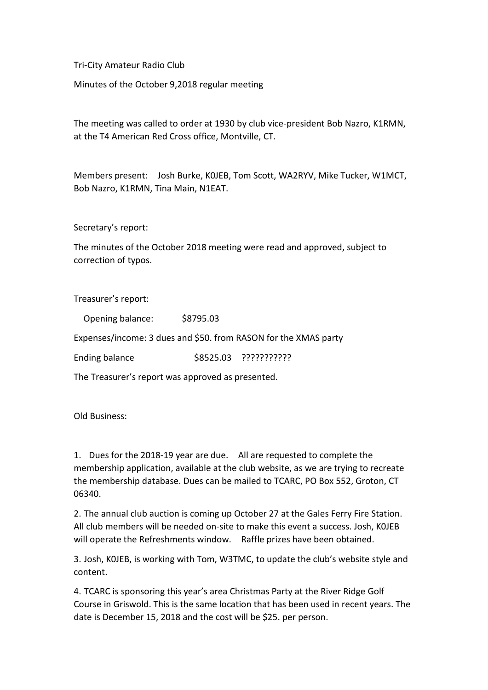Tri-City Amateur Radio Club

Minutes of the October 9,2018 regular meeting

The meeting was called to order at 1930 by club vice-president Bob Nazro, K1RMN, at the T4 American Red Cross office, Montville, CT.

Members present: Josh Burke, K0JEB, Tom Scott, WA2RYV, Mike Tucker, W1MCT, Bob Nazro, K1RMN, Tina Main, N1EAT.

Secretary's report:

The minutes of the October 2018 meeting were read and approved, subject to correction of typos.

Treasurer's report:

Opening balance: \$8795.03

Expenses/income: 3 dues and \$50. from RASON for the XMAS party

Ending balance \$8525.03 ???????????

The Treasurer's report was approved as presented.

Old Business:

1. Dues for the 2018-19 year are due. All are requested to complete the membership application, available at the club website, as we are trying to recreate the membership database. Dues can be mailed to TCARC, PO Box 552, Groton, CT 06340.

2. The annual club auction is coming up October 27 at the Gales Ferry Fire Station. All club members will be needed on-site to make this event a success. Josh, K0JEB will operate the Refreshments window. Raffle prizes have been obtained.

3. Josh, K0JEB, is working with Tom, W3TMC, to update the club's website style and content.

4. TCARC is sponsoring this year's area Christmas Party at the River Ridge Golf Course in Griswold. This is the same location that has been used in recent years. The date is December 15, 2018 and the cost will be \$25. per person.